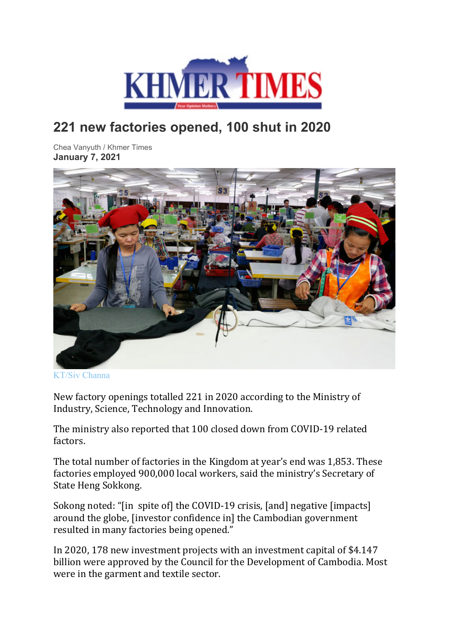

## **221 new factories opened, 100 shut in 2020**

Chea Vanyuth / Khmer Times **January 7, 2021**



[KT/Siv Channa](https://www.khmertimeskh.com/wp-content/uploads/2020/08/Garment-workers-at-factory-3.jpg)

New factory openings totalled 221 in 2020 according to the Ministry of Industry, Science, Technology and Innovation.

The ministry also reported that 100 closed down from COVID-19 related factors.

The total number of factories in the Kingdom at year's end was 1,853. These factories employed 900,000 local workers, said the ministry's Secretary of State Heng Sokkong.

Sokong noted: "[in spite of] the COVID-19 crisis, [and] negative [impacts] around the globe, [investor confidence in] the Cambodian government resulted in many factories being opened."

In 2020, 178 new investment projects with an investment capital of \$4.147 billion were approved by the Council for the Development of Cambodia. Most were in the garment and textile sector.